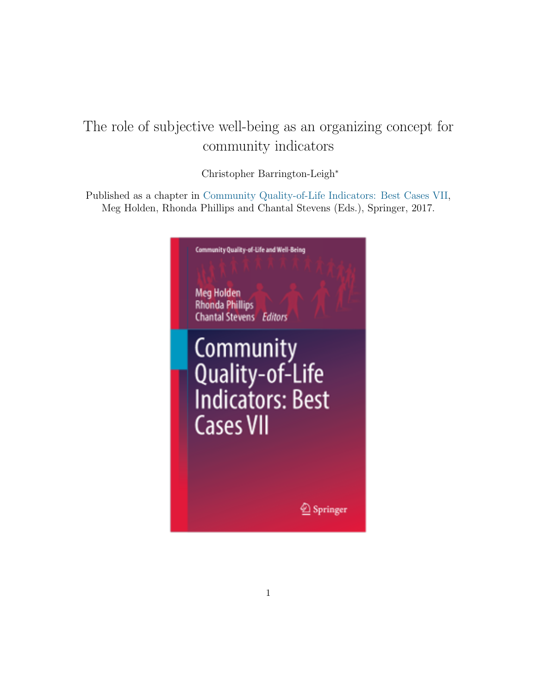## The role of subjective well-being as an organizing concept for community indicators

Christopher Barrington-Leigh<sup>∗</sup>

Published as a chapter in [Community Quality-of-Life Indicators: Best Cases VII,](http://www.springer.com/gp/book/9783319546179) Meg Holden, Rhonda Phillips and Chantal Stevens (Eds.), Springer, 2017.

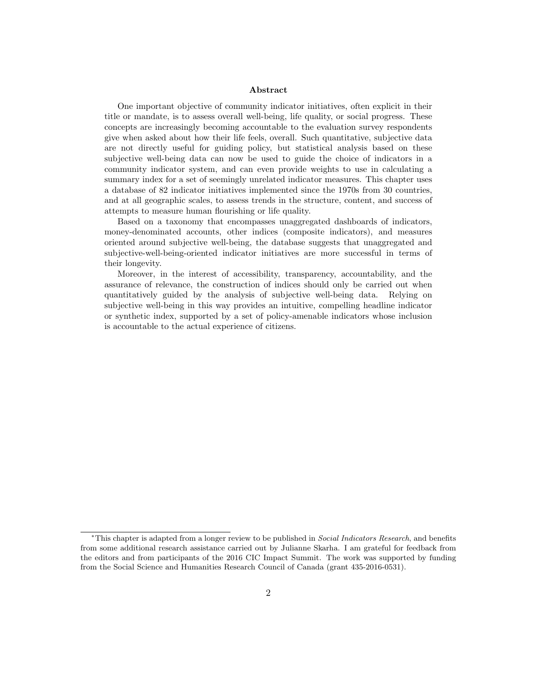#### Abstract

One important objective of community indicator initiatives, often explicit in their title or mandate, is to assess overall well-being, life quality, or social progress. These concepts are increasingly becoming accountable to the evaluation survey respondents give when asked about how their life feels, overall. Such quantitative, subjective data are not directly useful for guiding policy, but statistical analysis based on these subjective well-being data can now be used to guide the choice of indicators in a community indicator system, and can even provide weights to use in calculating a summary index for a set of seemingly unrelated indicator measures. This chapter uses a database of 82 indicator initiatives implemented since the 1970s from 30 countries, and at all geographic scales, to assess trends in the structure, content, and success of attempts to measure human flourishing or life quality.

Based on a taxonomy that encompasses unaggregated dashboards of indicators, money-denominated accounts, other indices (composite indicators), and measures oriented around subjective well-being, the database suggests that unaggregated and subjective-well-being-oriented indicator initiatives are more successful in terms of their longevity.

Moreover, in the interest of accessibility, transparency, accountability, and the assurance of relevance, the construction of indices should only be carried out when quantitatively guided by the analysis of subjective well-being data. Relying on subjective well-being in this way provides an intuitive, compelling headline indicator or synthetic index, supported by a set of policy-amenable indicators whose inclusion is accountable to the actual experience of citizens.

<sup>∗</sup>This chapter is adapted from a longer review to be published in Social Indicators Research, and benefits from some additional research assistance carried out by Julianne Skarha. I am grateful for feedback from the editors and from participants of the 2016 CIC Impact Summit. The work was supported by funding from the Social Science and Humanities Research Council of Canada (grant 435-2016-0531).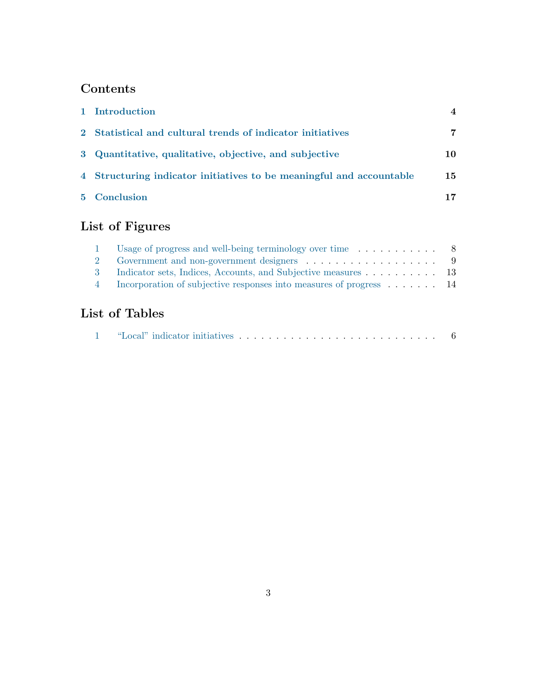## Contents

| 1 Introduction                                                       | $\overline{4}$ |
|----------------------------------------------------------------------|----------------|
| 2 Statistical and cultural trends of indicator initiatives           | 7              |
| 3 Quantitative, qualitative, objective, and subjective               | 10             |
| 4 Structuring indicator initiatives to be meaningful and accountable | 15             |
| 5 Conclusion                                                         | 17             |

# List of Figures

| $\sim$ 1 |                                                                       |  |  |  |  |
|----------|-----------------------------------------------------------------------|--|--|--|--|
|          |                                                                       |  |  |  |  |
|          | 3 Indicator sets, Indices, Accounts, and Subjective measures 13       |  |  |  |  |
|          | 4 Incorporation of subjective responses into measures of progress  14 |  |  |  |  |

### List of Tables

|--|--|--|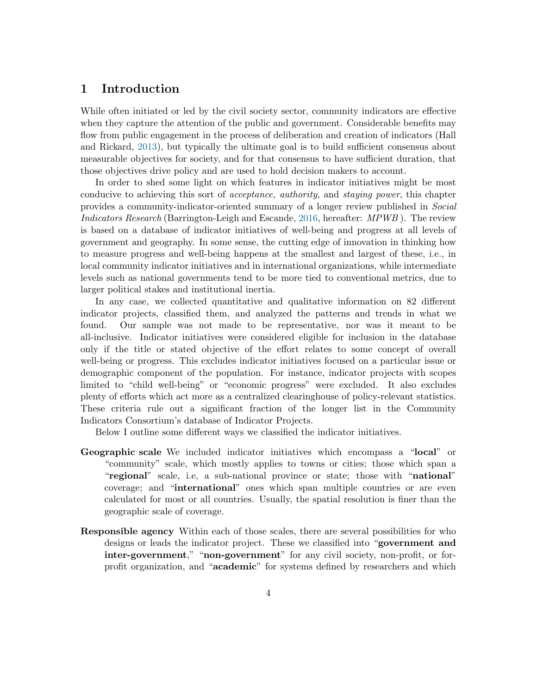### <span id="page-3-0"></span>1 Introduction

While often initiated or led by the civil society sector, community indicators are effective when they capture the attention of the public and government. Considerable benefits may flow from public engagement in the process of deliberation and creation of indicators (Hall and Rickard, [2013\)](#page-17-0), but typically the ultimate goal is to build sufficient consensus about measurable objectives for society, and for that consensus to have sufficient duration, that those objectives drive policy and are used to hold decision makers to account.

In order to shed some light on which features in indicator initiatives might be most conducive to achieving this sort of acceptance, authority, and staying power, this chapter provides a community-indicator-oriented summary of a longer review published in Social Indicators Research (Barrington-Leigh and Escande, [2016,](#page-17-1) hereafter: MPWB ). The review is based on a database of indicator initiatives of well-being and progress at all levels of government and geography. In some sense, the cutting edge of innovation in thinking how to measure progress and well-being happens at the smallest and largest of these, i.e., in local community indicator initiatives and in international organizations, while intermediate levels such as national governments tend to be more tied to conventional metrics, due to larger political stakes and institutional inertia.

In any case, we collected quantitative and qualitative information on 82 different indicator projects, classified them, and analyzed the patterns and trends in what we found. Our sample was not made to be representative, nor was it meant to be all-inclusive. Indicator initiatives were considered eligible for inclusion in the database only if the title or stated objective of the effort relates to some concept of overall well-being or progress. This excludes indicator initiatives focused on a particular issue or demographic component of the population. For instance, indicator projects with scopes limited to "child well-being" or "economic progress" were excluded. It also excludes plenty of efforts which act more as a centralized clearinghouse of policy-relevant statistics. These criteria rule out a significant fraction of the longer list in the Community Indicators Consortium's database of Indicator Projects.

Below I outline some different ways we classified the indicator initiatives.

- Geographic scale We included indicator initiatives which encompass a "local" or "community" scale, which mostly applies to towns or cities; those which span a "regional" scale, i.e, a sub-national province or state; those with "national" coverage; and "international" ones which span multiple countries or are even calculated for most or all countries. Usually, the spatial resolution is finer than the geographic scale of coverage.
- Responsible agency Within each of those scales, there are several possibilities for who designs or leads the indicator project. These we classified into "government and inter-government," "non-government" for any civil society, non-profit, or forprofit organization, and "academic" for systems defined by researchers and which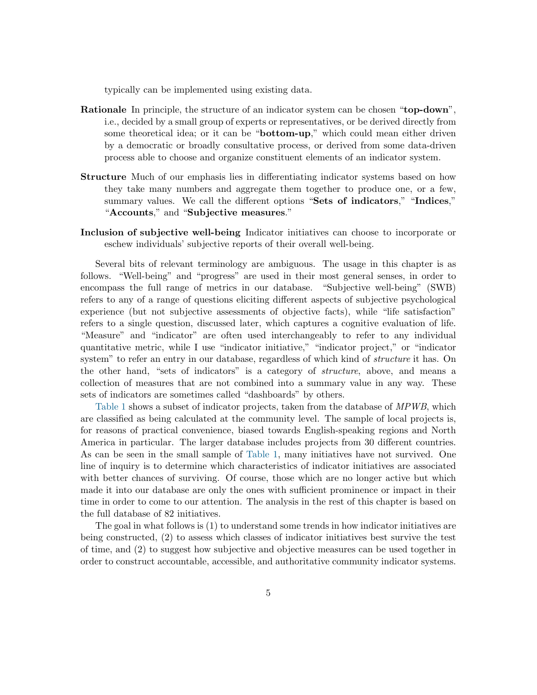typically can be implemented using existing data.

- Rationale In principle, the structure of an indicator system can be chosen "top-down", i.e., decided by a small group of experts or representatives, or be derived directly from some theoretical idea; or it can be "**bottom-up**," which could mean either driven by a democratic or broadly consultative process, or derived from some data-driven process able to choose and organize constituent elements of an indicator system.
- Structure Much of our emphasis lies in differentiating indicator systems based on how they take many numbers and aggregate them together to produce one, or a few, summary values. We call the different options "Sets of indicators," "Indices," "Accounts," and "Subjective measures."
- Inclusion of subjective well-being Indicator initiatives can choose to incorporate or eschew individuals' subjective reports of their overall well-being.

Several bits of relevant terminology are ambiguous. The usage in this chapter is as follows. "Well-being" and "progress" are used in their most general senses, in order to encompass the full range of metrics in our database. "Subjective well-being" (SWB) refers to any of a range of questions eliciting different aspects of subjective psychological experience (but not subjective assessments of objective facts), while "life satisfaction" refers to a single question, discussed later, which captures a cognitive evaluation of life. "Measure" and "indicator" are often used interchangeably to refer to any individual quantitative metric, while I use "indicator initiative," "indicator project," or "indicator system" to refer an entry in our database, regardless of which kind of *structure* it has. On the other hand, "sets of indicators" is a category of structure, above, and means a collection of measures that are not combined into a summary value in any way. These sets of indicators are sometimes called "dashboards" by others.

[Table 1](#page-5-0) shows a subset of indicator projects, taken from the database of MPWB, which are classified as being calculated at the community level. The sample of local projects is, for reasons of practical convenience, biased towards English-speaking regions and North America in particular. The larger database includes projects from 30 different countries. As can be seen in the small sample of [Table 1,](#page-5-0) many initiatives have not survived. One line of inquiry is to determine which characteristics of indicator initiatives are associated with better chances of surviving. Of course, those which are no longer active but which made it into our database are only the ones with sufficient prominence or impact in their time in order to come to our attention. The analysis in the rest of this chapter is based on the full database of 82 initiatives.

The goal in what follows is (1) to understand some trends in how indicator initiatives are being constructed, (2) to assess which classes of indicator initiatives best survive the test of time, and (2) to suggest how subjective and objective measures can be used together in order to construct accountable, accessible, and authoritative community indicator systems.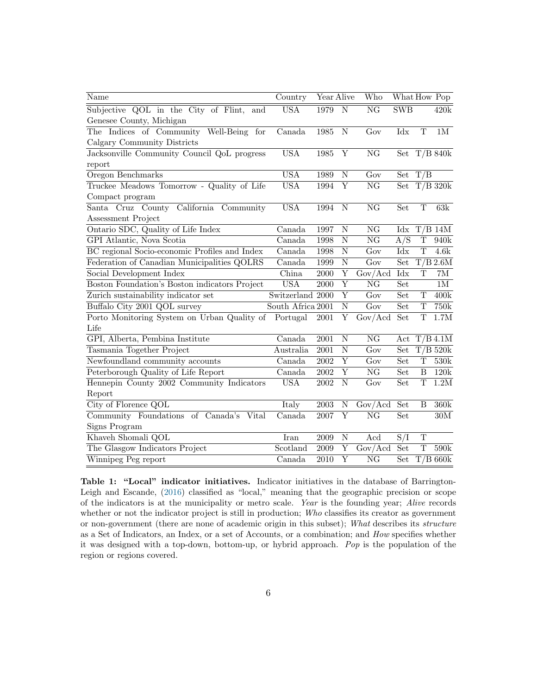<span id="page-5-0"></span>

| Name                                          | Country           | Year Alive |                         | Who                       | What How Pop     |                         |                 |
|-----------------------------------------------|-------------------|------------|-------------------------|---------------------------|------------------|-------------------------|-----------------|
| Subjective QOL in the City of Flint,<br>and   | <b>USA</b>        | 1979 N     |                         | NG                        | <b>SWB</b>       |                         | $420\mathrm{k}$ |
| Genesee County, Michigan                      |                   |            |                         |                           |                  |                         |                 |
| The Indices of Community Well-Being for       | Canada            | 1985       | N                       | Gov                       | Idx              | $\mathbf T$             | 1M              |
| Calgary Community Districts                   |                   |            |                         |                           |                  |                         |                 |
| Jacksonville Community Council QoL progress   | <b>USA</b>        | 1985       | Y                       | NG                        | Set              |                         | $T/B$ 840 $k$   |
| ${\rm report}$                                |                   |            |                         |                           |                  |                         |                 |
| Oregon Benchmarks                             | <b>USA</b>        | 1989       | $\mathbf N$             | Gov                       | Set              | T/B                     |                 |
| Truckee Meadows Tomorrow - Quality of Life    | <b>USA</b>        | 1994       | Y                       | NG                        | Set              |                         | $T/B$ 320 $k$   |
| Compact program                               |                   |            |                         |                           |                  |                         |                 |
| Santa Cruz County<br>California Community     | <b>USA</b>        | 1994       | N                       | NG                        | Set              | $\mathbf T$             | 63k             |
| Assessment Project                            |                   |            |                         |                           |                  |                         |                 |
| Ontario SDC, Quality of Life Index            | Canada            | 1997       | N                       | $\rm NG$                  | $\rm{Idx}$       |                         | $T/B$ 14M       |
| GPI Atlantic, Nova Scotia                     | Canada            | 1998       | N                       | NG                        | A/S              | $\mathbf T$             | 940k            |
| BC regional Socio-economic Profiles and Index | Canada            | 1998       | N                       | Gov                       | $\rm{Idx}$       | T                       | 4.6k            |
| Federation of Canadian Municipalities QOLRS   | Canada            | 1999       | ${\bf N}$               | Gov                       | Set              |                         | T/B 2.6M        |
| Social Development Index                      | China             | $2000\,$   | Y                       | $\rm Gov/Acd$             | $\rm{Idx}$       | T                       | 7M              |
| Boston Foundation's Boston indicators Project | <b>USA</b>        | 2000       | $\overline{\mathrm{Y}}$ | $\overline{\text{NG}}$    | Set              |                         | 1M              |
| Zurich sustainability indicator set           | Switzerland 2000  |            | Y                       | $\overline{\mathrm{Gov}}$ | Set              | $\overline{T}$          | 400k            |
| Buffalo City 2001 QOL survey                  | South Africa 2001 |            | $\mathbf N$             | Gov                       | Set              | $\mathbf T$             | $750\mathrm{k}$ |
| Porto Monitoring System on Urban Quality of   | Portugal          | $\,2001\,$ | $\overline{Y}$          | $\rm Gov/Acd$             | Set              | $\overline{\mathrm{T}}$ | 1.7M            |
| Life                                          |                   |            |                         |                           |                  |                         |                 |
| GPI, Alberta, Pembina Institute               | Canada            | $\,2001\,$ | N                       | NG                        | Act              |                         | T/B4.1M         |
| Tasmania Together Project                     | Australia         | 2001       | $\overline{\rm N}$      | Gov                       | Set              |                         | T/B 520k        |
| Newfoundland community accounts               | Canada            | $\,2002\,$ | Y                       | Gov                       | Set              | T                       | $530\mathrm{k}$ |
| Peterborough Quality of Life Report           | Canada            | $\,2002\,$ | $\overline{\mathrm{Y}}$ | NG                        | Set              | B                       | $120\mathrm{k}$ |
| Hennepin County 2002 Community Indicators     | <b>USA</b>        | 2002       | N                       | Gov                       | Set              | T                       | 1.2M            |
| Report                                        |                   |            |                         |                           |                  |                         |                 |
| City of Florence QOL                          | Italy             | 2003       | $\mathbf N$             | $\rm{Gov/Acd}$            | Set              | B                       | $360\mathrm{k}$ |
| Community Foundations of Canada's Vital       | Canada            | 2007       | Y                       | NG                        | Set              |                         | 30M             |
| Signs Program                                 |                   |            |                         |                           |                  |                         |                 |
| Khaveh Shomali QOL                            | Iran              | 2009       | N                       | Acd                       | $\overline{S/I}$ | $\mathbf T$             |                 |
| The Glasgow Indicators Project                | Scotland          | 2009       | Y                       | $\text{Gov}/\text{Acd}$   | Set              | $\mathbf T$             | 590k            |
| Winnipeg Peg report                           | Canada            | 2010       | $\mathbf Y$             | $\rm NG$                  | Set              |                         | $T/B$ 660 $k$   |

Table 1: "Local" indicator initiatives. Indicator initiatives in the database of Barrington-Leigh and Escande, [\(2016\)](#page-17-1) classified as "local," meaning that the geographic precision or scope of the indicators is at the municipality or metro scale. Year is the founding year; Alive records whether or not the indicator project is still in production; Who classifies its creator as government or non-government (there are none of academic origin in this subset); What describes its structure as a Set of Indicators, an Index, or a set of Accounts, or a combination; and How specifies whether it was designed with a top-down, bottom-up, or hybrid approach. Pop is the population of the region or regions covered.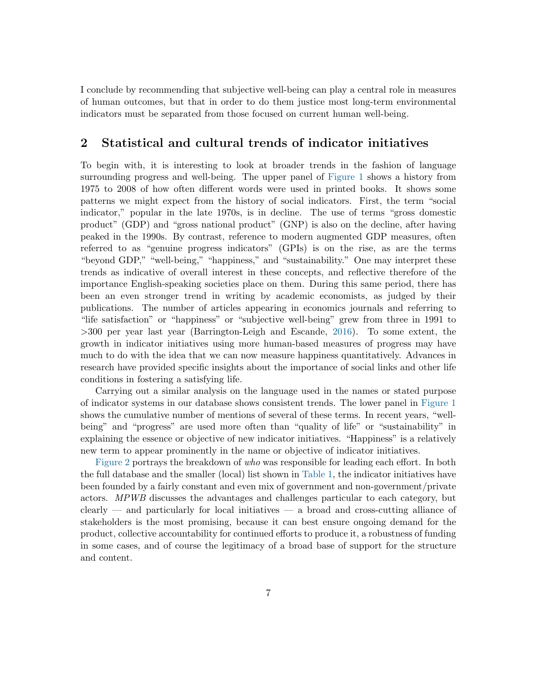I conclude by recommending that subjective well-being can play a central role in measures of human outcomes, but that in order to do them justice most long-term environmental indicators must be separated from those focused on current human well-being.

#### <span id="page-6-0"></span>2 Statistical and cultural trends of indicator initiatives

To begin with, it is interesting to look at broader trends in the fashion of language surrounding progress and well-being. The upper panel of [Figure 1](#page-7-0) shows a history from 1975 to 2008 of how often different words were used in printed books. It shows some patterns we might expect from the history of social indicators. First, the term "social indicator," popular in the late 1970s, is in decline. The use of terms "gross domestic product" (GDP) and "gross national product" (GNP) is also on the decline, after having peaked in the 1990s. By contrast, reference to modern augmented GDP measures, often referred to as "genuine progress indicators" (GPIs) is on the rise, as are the terms "beyond GDP," "well-being," "happiness," and "sustainability." One may interpret these trends as indicative of overall interest in these concepts, and reflective therefore of the importance English-speaking societies place on them. During this same period, there has been an even stronger trend in writing by academic economists, as judged by their publications. The number of articles appearing in economics journals and referring to "life satisfaction" or "happiness" or "subjective well-being" grew from three in 1991 to >300 per year last year (Barrington-Leigh and Escande, [2016\)](#page-17-1). To some extent, the growth in indicator initiatives using more human-based measures of progress may have much to do with the idea that we can now measure happiness quantitatively. Advances in research have provided specific insights about the importance of social links and other life conditions in fostering a satisfying life.

Carrying out a similar analysis on the language used in the names or stated purpose of indicator systems in our database shows consistent trends. The lower panel in [Figure 1](#page-7-0) shows the cumulative number of mentions of several of these terms. In recent years, "wellbeing" and "progress" are used more often than "quality of life" or "sustainability" in explaining the essence or objective of new indicator initiatives. "Happiness" is a relatively new term to appear prominently in the name or objective of indicator initiatives.

[Figure 2](#page-8-0) portrays the breakdown of who was responsible for leading each effort. In both the full database and the smaller (local) list shown in [Table 1,](#page-5-0) the indicator initiatives have been founded by a fairly constant and even mix of government and non-government/private actors. MPWB discusses the advantages and challenges particular to each category, but clearly — and particularly for local initiatives — a broad and cross-cutting alliance of stakeholders is the most promising, because it can best ensure ongoing demand for the product, collective accountability for continued efforts to produce it, a robustness of funding in some cases, and of course the legitimacy of a broad base of support for the structure and content.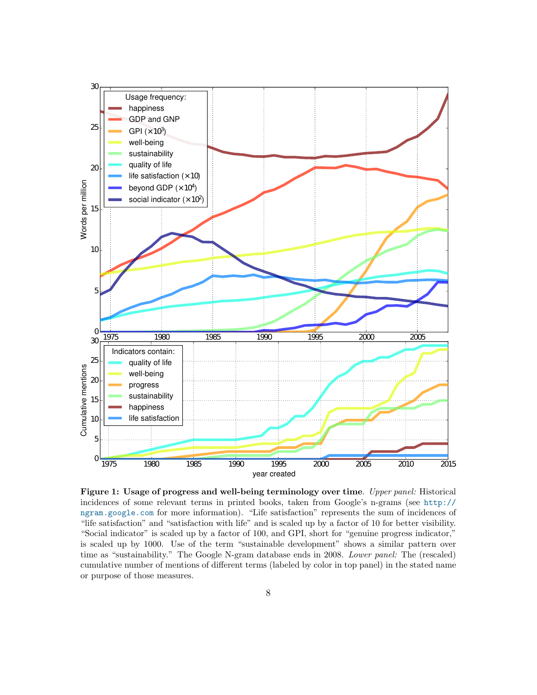<span id="page-7-0"></span>

Figure 1: Usage of progress and well-being terminology over time. Upper panel: Historical incidences of some relevant terms in printed books, taken from Google's n-grams (see [http://](http://ngram.google.com) [ngram.google.com](http://ngram.google.com) for more information). "Life satisfaction" represents the sum of incidences of "life satisfaction" and "satisfaction with life" and is scaled up by a factor of 10 for better visibility. "Social indicator" is scaled up by a factor of 100, and GPI, short for "genuine progress indicator," is scaled up by 1000. Use of the term "sustainable development" shows a similar pattern over time as "sustainability." The Google N-gram database ends in 2008. Lower panel: The (rescaled) cumulative number of mentions of different terms (labeled by color in top panel) in the stated name or purpose of those measures.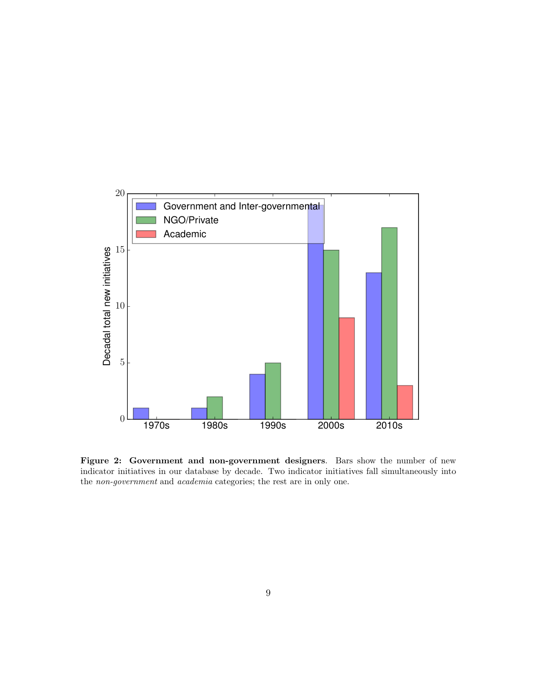<span id="page-8-0"></span>

Figure 2: Government and non-government designers. Bars show the number of new indicator initiatives in our database by decade. Two indicator initiatives fall simultaneously into the non-government and academia categories; the rest are in only one.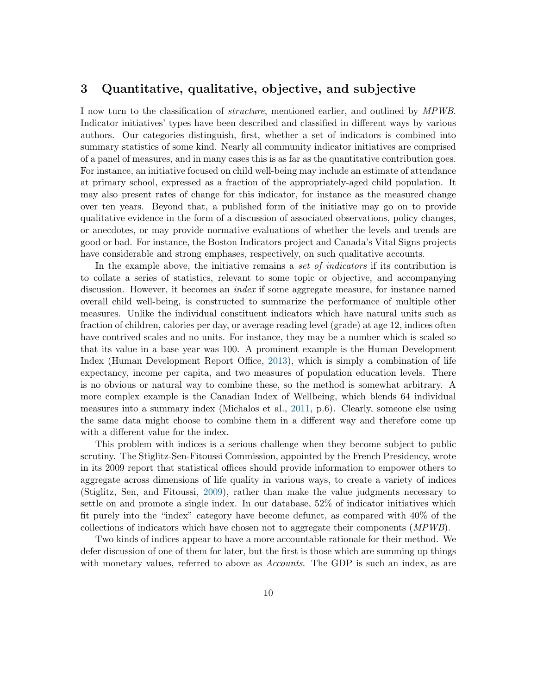### <span id="page-9-0"></span>3 Quantitative, qualitative, objective, and subjective

I now turn to the classification of structure, mentioned earlier, and outlined by MPWB. Indicator initiatives' types have been described and classified in different ways by various authors. Our categories distinguish, first, whether a set of indicators is combined into summary statistics of some kind. Nearly all community indicator initiatives are comprised of a panel of measures, and in many cases this is as far as the quantitative contribution goes. For instance, an initiative focused on child well-being may include an estimate of attendance at primary school, expressed as a fraction of the appropriately-aged child population. It may also present rates of change for this indicator, for instance as the measured change over ten years. Beyond that, a published form of the initiative may go on to provide qualitative evidence in the form of a discussion of associated observations, policy changes, or anecdotes, or may provide normative evaluations of whether the levels and trends are good or bad. For instance, the Boston Indicators project and Canada's Vital Signs projects have considerable and strong emphases, respectively, on such qualitative accounts.

In the example above, the initiative remains a set of indicators if its contribution is to collate a series of statistics, relevant to some topic or objective, and accompanying discussion. However, it becomes an *index* if some aggregate measure, for instance named overall child well-being, is constructed to summarize the performance of multiple other measures. Unlike the individual constituent indicators which have natural units such as fraction of children, calories per day, or average reading level (grade) at age 12, indices often have contrived scales and no units. For instance, they may be a number which is scaled so that its value in a base year was 100. A prominent example is the Human Development Index (Human Development Report Office, [2013\)](#page-17-2), which is simply a combination of life expectancy, income per capita, and two measures of population education levels. There is no obvious or natural way to combine these, so the method is somewhat arbitrary. A more complex example is the Canadian Index of Wellbeing, which blends 64 individual measures into a summary index (Michalos et al., [2011,](#page-17-3) p.6). Clearly, someone else using the same data might choose to combine them in a different way and therefore come up with a different value for the index.

This problem with indices is a serious challenge when they become subject to public scrutiny. The Stiglitz-Sen-Fitoussi Commission, appointed by the French Presidency, wrote in its 2009 report that statistical offices should provide information to empower others to aggregate across dimensions of life quality in various ways, to create a variety of indices (Stiglitz, Sen, and Fitoussi, [2009\)](#page-18-0), rather than make the value judgments necessary to settle on and promote a single index. In our database, 52% of indicator initiatives which fit purely into the "index" category have become defunct, as compared with 40% of the collections of indicators which have chosen not to aggregate their components (MPWB).

Two kinds of indices appear to have a more accountable rationale for their method. We defer discussion of one of them for later, but the first is those which are summing up things with monetary values, referred to above as *Accounts*. The GDP is such an index, as are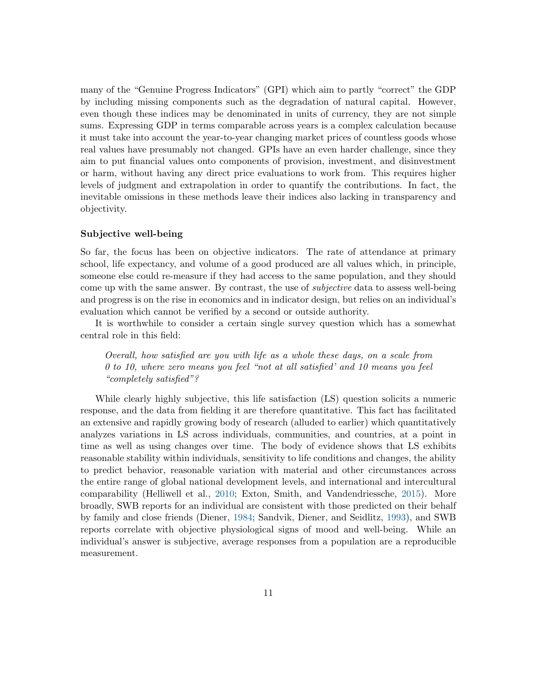many of the "Genuine Progress Indicators" (GPI) which aim to partly "correct" the GDP by including missing components such as the degradation of natural capital. However, even though these indices may be denominated in units of currency, they are not simple sums. Expressing GDP in terms comparable across years is a complex calculation because it must take into account the year-to-year changing market prices of countless goods whose real values have presumably not changed. GPIs have an even harder challenge, since they aim to put financial values onto components of provision, investment, and disinvestment or harm, without having any direct price evaluations to work from. This requires higher levels of judgment and extrapolation in order to quantify the contributions. In fact, the inevitable omissions in these methods leave their indices also lacking in transparency and objectivity.

#### Subjective well-being

So far, the focus has been on objective indicators. The rate of attendance at primary school, life expectancy, and volume of a good produced are all values which, in principle, someone else could re-measure if they had access to the same population, and they should come up with the same answer. By contrast, the use of subjective data to assess well-being and progress is on the rise in economics and in indicator design, but relies on an individual's evaluation which cannot be verified by a second or outside authority.

It is worthwhile to consider a certain single survey question which has a somewhat central role in this field:

Overall, how satisfied are you with life as a whole these days, on a scale from 0 to 10, where zero means you feel "not at all satisfied' and 10 means you feel "completely satisfied"?

While clearly highly subjective, this life satisfaction (LS) question solicits a numeric response, and the data from fielding it are therefore quantitative. This fact has facilitated an extensive and rapidly growing body of research (alluded to earlier) which quantitatively analyzes variations in LS across individuals, communities, and countries, at a point in time as well as using changes over time. The body of evidence shows that LS exhibits reasonable stability within individuals, sensitivity to life conditions and changes, the ability to predict behavior, reasonable variation with material and other circumstances across the entire range of global national development levels, and international and intercultural comparability (Helliwell et al., [2010;](#page-17-4) Exton, Smith, and Vandendriessche, [2015\)](#page-17-5). More broadly, SWB reports for an individual are consistent with those predicted on their behalf by family and close friends (Diener, [1984;](#page-17-6) Sandvik, Diener, and Seidlitz, [1993\)](#page-18-1), and SWB reports correlate with objective physiological signs of mood and well-being. While an individual's answer is subjective, average responses from a population are a reproducible measurement.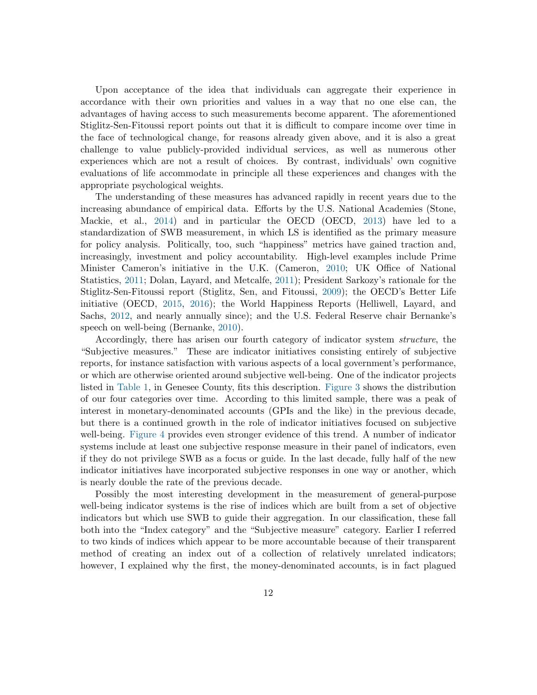Upon acceptance of the idea that individuals can aggregate their experience in accordance with their own priorities and values in a way that no one else can, the advantages of having access to such measurements become apparent. The aforementioned Stiglitz-Sen-Fitoussi report points out that it is difficult to compare income over time in the face of technological change, for reasons already given above, and it is also a great challenge to value publicly-provided individual services, as well as numerous other experiences which are not a result of choices. By contrast, individuals' own cognitive evaluations of life accommodate in principle all these experiences and changes with the appropriate psychological weights.

The understanding of these measures has advanced rapidly in recent years due to the increasing abundance of empirical data. Efforts by the U.S. National Academies (Stone, Mackie, et al., [2014\)](#page-18-2) and in particular the OECD (OECD, [2013\)](#page-17-7) have led to a standardization of SWB measurement, in which LS is identified as the primary measure for policy analysis. Politically, too, such "happiness" metrics have gained traction and, increasingly, investment and policy accountability. High-level examples include Prime Minister Cameron's initiative in the U.K. (Cameron, [2010;](#page-17-8) UK Office of National Statistics, [2011;](#page-18-3) Dolan, Layard, and Metcalfe, [2011\)](#page-17-9); President Sarkozy's rationale for the Stiglitz-Sen-Fitoussi report (Stiglitz, Sen, and Fitoussi, [2009\)](#page-18-0); the OECD's Better Life initiative (OECD, [2015,](#page-17-10) [2016\)](#page-17-11); the World Happiness Reports (Helliwell, Layard, and Sachs, [2012,](#page-17-12) and nearly annually since); and the U.S. Federal Reserve chair Bernanke's speech on well-being (Bernanke, [2010\)](#page-17-13).

Accordingly, there has arisen our fourth category of indicator system structure, the "Subjective measures." These are indicator initiatives consisting entirely of subjective reports, for instance satisfaction with various aspects of a local government's performance, or which are otherwise oriented around subjective well-being. One of the indicator projects listed in [Table 1,](#page-5-0) in Genesee County, fits this description. [Figure 3](#page-12-0) shows the distribution of our four categories over time. According to this limited sample, there was a peak of interest in monetary-denominated accounts (GPIs and the like) in the previous decade, but there is a continued growth in the role of indicator initiatives focused on subjective well-being. [Figure 4](#page-13-0) provides even stronger evidence of this trend. A number of indicator systems include at least one subjective response measure in their panel of indicators, even if they do not privilege SWB as a focus or guide. In the last decade, fully half of the new indicator initiatives have incorporated subjective responses in one way or another, which is nearly double the rate of the previous decade.

Possibly the most interesting development in the measurement of general-purpose well-being indicator systems is the rise of indices which are built from a set of objective indicators but which use SWB to guide their aggregation. In our classification, these fall both into the "Index category" and the "Subjective measure" category. Earlier I referred to two kinds of indices which appear to be more accountable because of their transparent method of creating an index out of a collection of relatively unrelated indicators; however, I explained why the first, the money-denominated accounts, is in fact plagued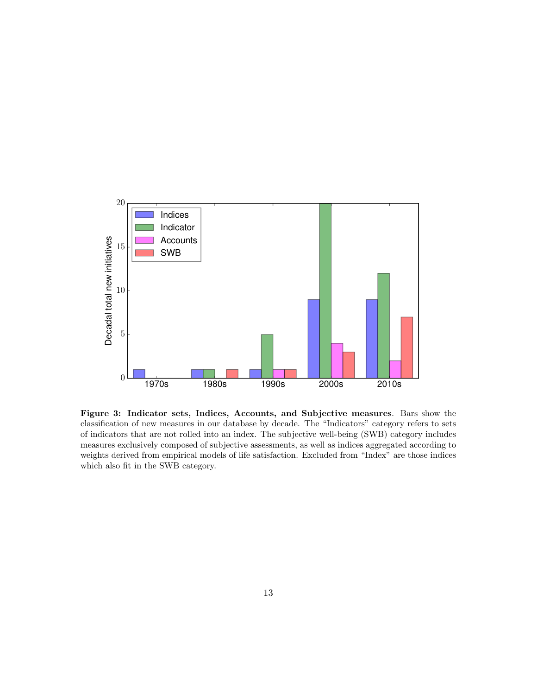<span id="page-12-0"></span>

Figure 3: Indicator sets, Indices, Accounts, and Subjective measures. Bars show the classification of new measures in our database by decade. The "Indicators" category refers to sets of indicators that are not rolled into an index. The subjective well-being (SWB) category includes measures exclusively composed of subjective assessments, as well as indices aggregated according to weights derived from empirical models of life satisfaction. Excluded from "Index" are those indices which also fit in the SWB category.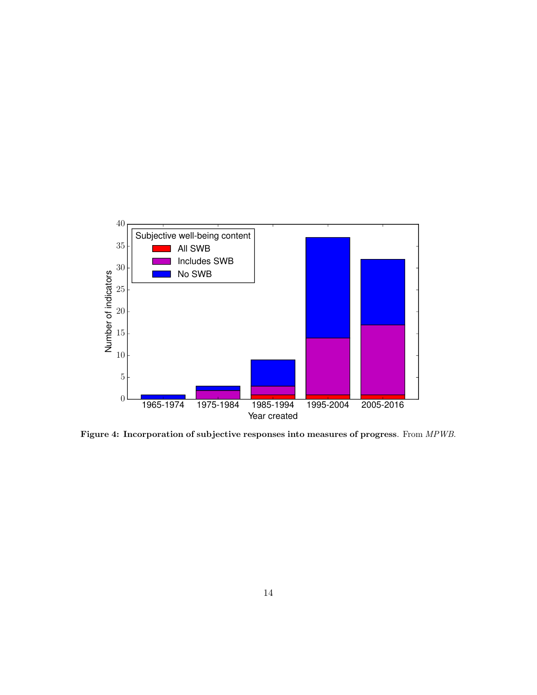<span id="page-13-0"></span>

Figure 4: Incorporation of subjective responses into measures of progress. From MPWB.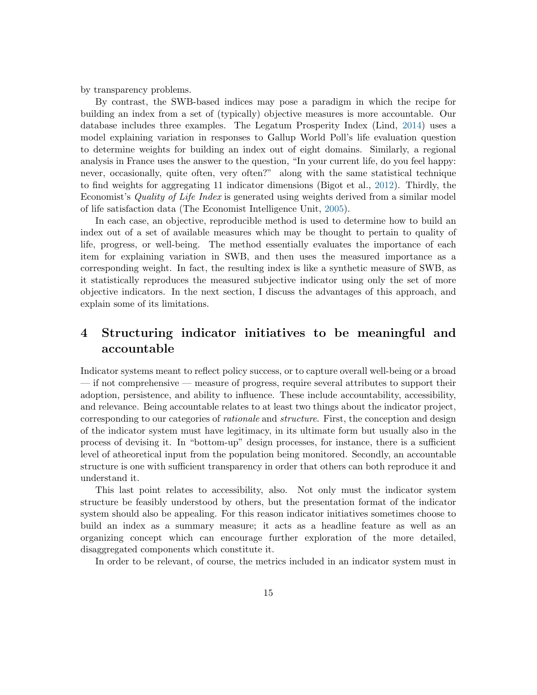by transparency problems.

By contrast, the SWB-based indices may pose a paradigm in which the recipe for building an index from a set of (typically) objective measures is more accountable. Our database includes three examples. The Legatum Prosperity Index (Lind, [2014\)](#page-17-14) uses a model explaining variation in responses to Gallup World Poll's life evaluation question to determine weights for building an index out of eight domains. Similarly, a regional analysis in France uses the answer to the question, "In your current life, do you feel happy: never, occasionally, quite often, very often?" along with the same statistical technique to find weights for aggregating 11 indicator dimensions (Bigot et al., [2012\)](#page-17-15). Thirdly, the Economist's Quality of Life Index is generated using weights derived from a similar model of life satisfaction data (The Economist Intelligence Unit, [2005\)](#page-18-4).

In each case, an objective, reproducible method is used to determine how to build an index out of a set of available measures which may be thought to pertain to quality of life, progress, or well-being. The method essentially evaluates the importance of each item for explaining variation in SWB, and then uses the measured importance as a corresponding weight. In fact, the resulting index is like a synthetic measure of SWB, as it statistically reproduces the measured subjective indicator using only the set of more objective indicators. In the next section, I discuss the advantages of this approach, and explain some of its limitations.

### <span id="page-14-0"></span>4 Structuring indicator initiatives to be meaningful and accountable

Indicator systems meant to reflect policy success, or to capture overall well-being or a broad — if not comprehensive — measure of progress, require several attributes to support their adoption, persistence, and ability to influence. These include accountability, accessibility, and relevance. Being accountable relates to at least two things about the indicator project, corresponding to our categories of rationale and structure. First, the conception and design of the indicator system must have legitimacy, in its ultimate form but usually also in the process of devising it. In "bottom-up" design processes, for instance, there is a sufficient level of atheoretical input from the population being monitored. Secondly, an accountable structure is one with sufficient transparency in order that others can both reproduce it and understand it.

This last point relates to accessibility, also. Not only must the indicator system structure be feasibly understood by others, but the presentation format of the indicator system should also be appealing. For this reason indicator initiatives sometimes choose to build an index as a summary measure; it acts as a headline feature as well as an organizing concept which can encourage further exploration of the more detailed, disaggregated components which constitute it.

In order to be relevant, of course, the metrics included in an indicator system must in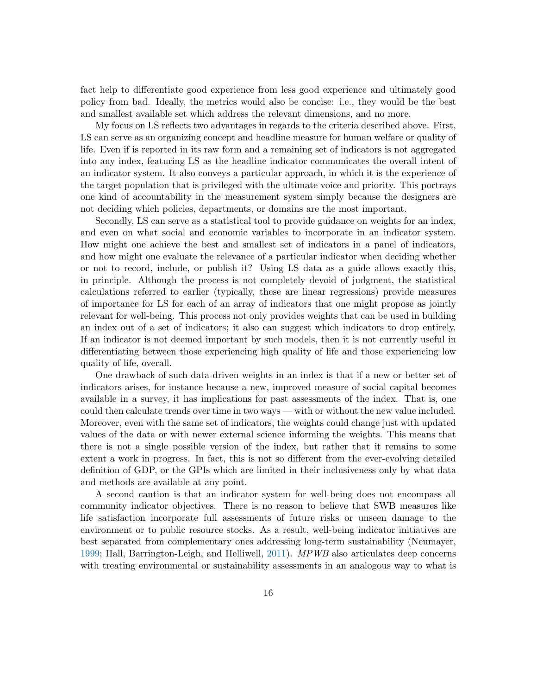fact help to differentiate good experience from less good experience and ultimately good policy from bad. Ideally, the metrics would also be concise: i.e., they would be the best and smallest available set which address the relevant dimensions, and no more.

My focus on LS reflects two advantages in regards to the criteria described above. First, LS can serve as an organizing concept and headline measure for human welfare or quality of life. Even if is reported in its raw form and a remaining set of indicators is not aggregated into any index, featuring LS as the headline indicator communicates the overall intent of an indicator system. It also conveys a particular approach, in which it is the experience of the target population that is privileged with the ultimate voice and priority. This portrays one kind of accountability in the measurement system simply because the designers are not deciding which policies, departments, or domains are the most important.

Secondly, LS can serve as a statistical tool to provide guidance on weights for an index, and even on what social and economic variables to incorporate in an indicator system. How might one achieve the best and smallest set of indicators in a panel of indicators, and how might one evaluate the relevance of a particular indicator when deciding whether or not to record, include, or publish it? Using LS data as a guide allows exactly this, in principle. Although the process is not completely devoid of judgment, the statistical calculations referred to earlier (typically, these are linear regressions) provide measures of importance for LS for each of an array of indicators that one might propose as jointly relevant for well-being. This process not only provides weights that can be used in building an index out of a set of indicators; it also can suggest which indicators to drop entirely. If an indicator is not deemed important by such models, then it is not currently useful in differentiating between those experiencing high quality of life and those experiencing low quality of life, overall.

One drawback of such data-driven weights in an index is that if a new or better set of indicators arises, for instance because a new, improved measure of social capital becomes available in a survey, it has implications for past assessments of the index. That is, one could then calculate trends over time in two ways — with or without the new value included. Moreover, even with the same set of indicators, the weights could change just with updated values of the data or with newer external science informing the weights. This means that there is not a single possible version of the index, but rather that it remains to some extent a work in progress. In fact, this is not so different from the ever-evolving detailed definition of GDP, or the GPIs which are limited in their inclusiveness only by what data and methods are available at any point.

A second caution is that an indicator system for well-being does not encompass all community indicator objectives. There is no reason to believe that SWB measures like life satisfaction incorporate full assessments of future risks or unseen damage to the environment or to public resource stocks. As a result, well-being indicator initiatives are best separated from complementary ones addressing long-term sustainability (Neumayer, [1999;](#page-17-16) Hall, Barrington-Leigh, and Helliwell, [2011\)](#page-17-17). MPWB also articulates deep concerns with treating environmental or sustainability assessments in an analogous way to what is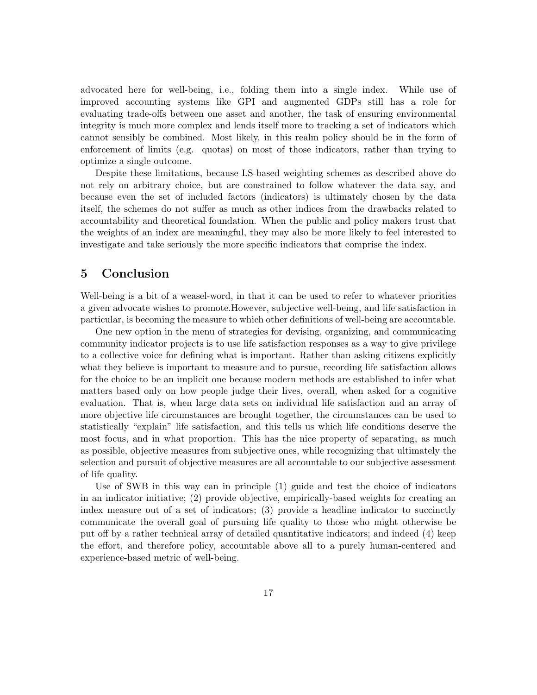advocated here for well-being, i.e., folding them into a single index. While use of improved accounting systems like GPI and augmented GDPs still has a role for evaluating trade-offs between one asset and another, the task of ensuring environmental integrity is much more complex and lends itself more to tracking a set of indicators which cannot sensibly be combined. Most likely, in this realm policy should be in the form of enforcement of limits (e.g. quotas) on most of those indicators, rather than trying to optimize a single outcome.

Despite these limitations, because LS-based weighting schemes as described above do not rely on arbitrary choice, but are constrained to follow whatever the data say, and because even the set of included factors (indicators) is ultimately chosen by the data itself, the schemes do not suffer as much as other indices from the drawbacks related to accountability and theoretical foundation. When the public and policy makers trust that the weights of an index are meaningful, they may also be more likely to feel interested to investigate and take seriously the more specific indicators that comprise the index.

#### <span id="page-16-0"></span>5 Conclusion

Well-being is a bit of a weasel-word, in that it can be used to refer to whatever priorities a given advocate wishes to promote.However, subjective well-being, and life satisfaction in particular, is becoming the measure to which other definitions of well-being are accountable.

One new option in the menu of strategies for devising, organizing, and communicating community indicator projects is to use life satisfaction responses as a way to give privilege to a collective voice for defining what is important. Rather than asking citizens explicitly what they believe is important to measure and to pursue, recording life satisfaction allows for the choice to be an implicit one because modern methods are established to infer what matters based only on how people judge their lives, overall, when asked for a cognitive evaluation. That is, when large data sets on individual life satisfaction and an array of more objective life circumstances are brought together, the circumstances can be used to statistically "explain" life satisfaction, and this tells us which life conditions deserve the most focus, and in what proportion. This has the nice property of separating, as much as possible, objective measures from subjective ones, while recognizing that ultimately the selection and pursuit of objective measures are all accountable to our subjective assessment of life quality.

Use of SWB in this way can in principle (1) guide and test the choice of indicators in an indicator initiative; (2) provide objective, empirically-based weights for creating an index measure out of a set of indicators; (3) provide a headline indicator to succinctly communicate the overall goal of pursuing life quality to those who might otherwise be put off by a rather technical array of detailed quantitative indicators; and indeed (4) keep the effort, and therefore policy, accountable above all to a purely human-centered and experience-based metric of well-being.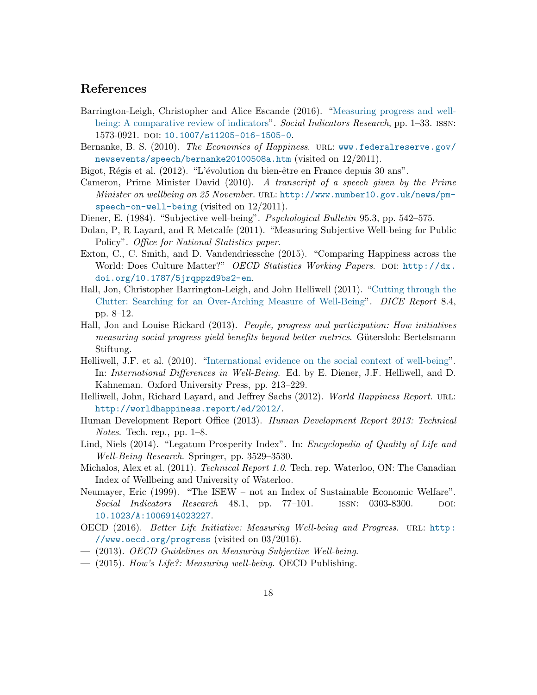### References

- <span id="page-17-1"></span>Barrington-Leigh, Christopher and Alice Escande (2016). ["Measuring progress and well](http://alum.mit.edu/www/cpbl/publications/Barrington-Leigh-Escande-SIR2017-measuring-progress.pdf)[being: A comparative review of indicators"](http://alum.mit.edu/www/cpbl/publications/Barrington-Leigh-Escande-SIR2017-measuring-progress.pdf). Social Indicators Research, pp. 1–33. ISSN: 1573-0921. DOI: [10.1007/s11205-016-1505-0](http://dx.doi.org/10.1007/s11205-016-1505-0).
- <span id="page-17-13"></span>Bernanke, B. S. (2010). The Economics of Happiness. URL: [www.federalreserve.gov/](www.federalreserve.gov/newsevents/speech/bernanke20100508a.htm) [newsevents/speech/bernanke20100508a.htm](www.federalreserve.gov/newsevents/speech/bernanke20100508a.htm) (visited on 12/2011).
- <span id="page-17-15"></span>Bigot, Régis et al. (2012). "L'évolution du bien-être en France depuis 30 ans".
- <span id="page-17-8"></span>Cameron, Prime Minister David (2010). A transcript of a speech given by the Prime Minister on wellbeing on 25 November. url: [http://www.number10.gov.uk/news/pm](http://www.number10.gov.uk/news/pm-speech-on-well-being)[speech-on-well-being](http://www.number10.gov.uk/news/pm-speech-on-well-being) (visited on 12/2011).
- <span id="page-17-6"></span>Diener, E. (1984). "Subjective well-being". Psychological Bulletin 95.3, pp. 542–575.
- <span id="page-17-9"></span>Dolan, P, R Layard, and R Metcalfe (2011). "Measuring Subjective Well-being for Public Policy". Office for National Statistics paper.
- <span id="page-17-5"></span>Exton, C., C. Smith, and D. Vandendriessche (2015). "Comparing Happiness across the World: Does Culture Matter?" OECD Statistics Working Papers. DOI: [http://dx.](http://dx.doi.org/http://dx.doi.org/10.1787/5jrqppzd9bs2-en) [doi.org/10.1787/5jrqppzd9bs2-en](http://dx.doi.org/http://dx.doi.org/10.1787/5jrqppzd9bs2-en).
- <span id="page-17-17"></span>Hall, Jon, Christopher Barrington-Leigh, and John Helliwell (2011). ["Cutting through the](http://alum.mit.edu/www/cpbl/publications/Hall-Barrington-Leigh-Helliwell-CESifoDICE2011.pdf) [Clutter: Searching for an Over-Arching Measure of Well-Being"](http://alum.mit.edu/www/cpbl/publications/Hall-Barrington-Leigh-Helliwell-CESifoDICE2011.pdf). DICE Report 8.4, pp. 8–12.
- <span id="page-17-0"></span>Hall, Jon and Louise Rickard (2013). People, progress and participation: How initiatives measuring social progress yield benefits beyond better metrics. Gütersloh: Bertelsmann Stiftung.
- <span id="page-17-4"></span>Helliwell, J.F. et al. (2010). ["International evidence on the social context of well-being"](https://books.google.ca/books?hl=en&lr=&id=m99aqwLFrGoC&oi=fnd&pg=PA291). In: International Differences in Well-Being. Ed. by E. Diener, J.F. Helliwell, and D. Kahneman. Oxford University Press, pp. 213–229.
- <span id="page-17-12"></span>Helliwell, John, Richard Layard, and Jeffrey Sachs (2012). World Happiness Report. URL: <http://worldhappiness.report/ed/2012/>.
- <span id="page-17-2"></span>Human Development Report Office (2013). Human Development Report 2013: Technical Notes. Tech. rep., pp. 1–8.
- <span id="page-17-14"></span>Lind, Niels (2014). "Legatum Prosperity Index". In: *Encyclopedia of Quality of Life and* Well-Being Research. Springer, pp. 3529–3530.
- <span id="page-17-3"></span>Michalos, Alex et al. (2011). Technical Report 1.0. Tech. rep. Waterloo, ON: The Canadian Index of Wellbeing and University of Waterloo.
- <span id="page-17-16"></span>Neumayer, Eric (1999). "The ISEW – not an Index of Sustainable Economic Welfare".  $Social~Indicators~ Research~48.1, pp. 77–101.$  ISSN: 0303-8300. DOI: [10.1023/A:1006914023227](http://dx.doi.org/10.1023/A:1006914023227).
- <span id="page-17-11"></span>OECD (2016). Better Life Initiative: Measuring Well-being and Progress. url: [http :](http://www.oecd.org/progress) [//www.oecd.org/progress](http://www.oecd.org/progress) (visited on 03/2016).
- <span id="page-17-7"></span>— (2013). OECD Guidelines on Measuring Subjective Well-being.
- <span id="page-17-10"></span> $-$  (2015). How's Life?: Measuring well-being. OECD Publishing.